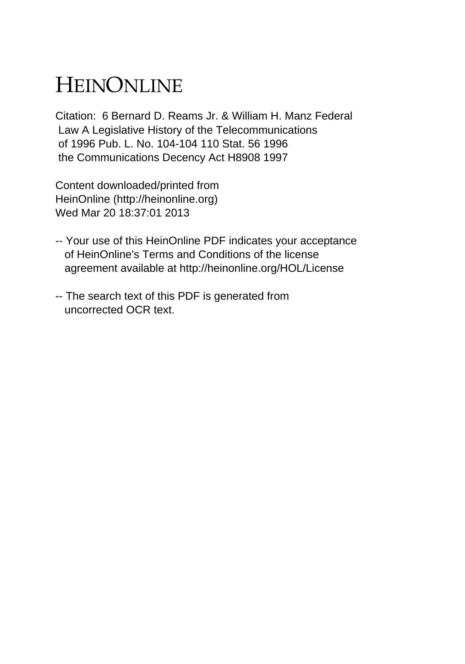# HEINONLINE

Citation: 6 Bernard D. Reams Jr. & William H. Manz Federal Law A Legislative History of the Telecommunications of 1996 Pub. L. No. 104-104 110 Stat. 56 1996 the Communications Decency Act H8908 1997

Content downloaded/printed from HeinOnline (http://heinonline.org) Wed Mar 20 18:37:01 2013

- -- Your use of this HeinOnline PDF indicates your acceptance of HeinOnline's Terms and Conditions of the license agreement available at http://heinonline.org/HOL/License
- -- The search text of this PDF is generated from uncorrected OCR text.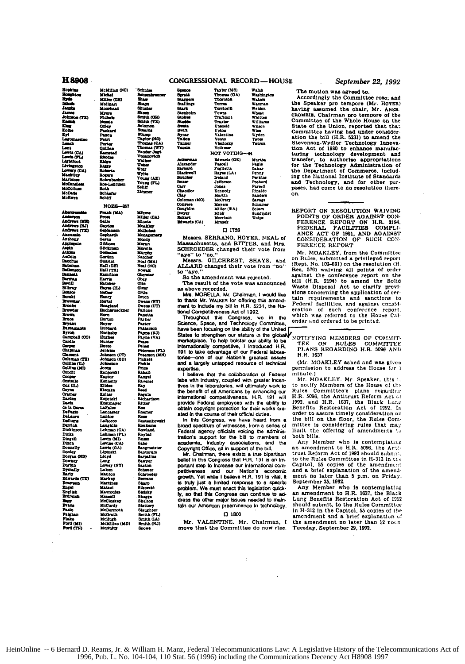**Barkamase s nos.**<br> **Brachar Parent Control** States to strengthen our statues in the plote<br>
barkamas representation in the plane of the plane of the plane of the plane in the plane of the barkamas of the barkamas of the ba siyon and the strengthen and the strengthen and the strengthen and the strengthen and the strengthen and the strengthen in the states of our National Shammar (N) and the status of the status of the state of the state of th

anvenuer annual oreans on the monotonical constants and Pederal facilities, and against constdi<br>Brooks Boarland Ovens (177) mentito include my bill H.P. 521, the Na– Pederal facilities, and against constdi<br>Browder Bochbro

Bryan France (T) Branch (2012) S. **Phenomenon and a strained to be printed.** Branch (1) and the printed to be printed. The printed to be printed. The strained to be present of the printed. The strained to be present of the **Plot local laboration of our Nation's greatest axsets and a largely untapped resource of technical** 

**.cefteo Usually Rve-** tabs **with** Industry, coupled **Wilt** greater **Incen- Mr.** MOAKLIY. **Mr.** Speaker, **this** the benefit of all Americans by enhancing our international competitiveness. H.R. 191 will provide Federal employees with the ability to

Numeral control to the mini-particular control is the mini-particular to the mini-particular control to the mini-particular control to the mini-particular control in the Control of the Control of the Control of the Numeral **combined in the analytic September 25, 1992.**<br>**grobism.** We must enact this legislation quick. Any Member who is contemplating Mateur Sitcom : problem. We must enact this legislation quick-<br>Marmolas Stating Mateur (1988) The Black and the submitted of the Black the Black of the Black of the Black of<br>McCloskey Skeiton dress the other major issues n

McHugh Bmith(IA)<br>MCMillen(MD) Smith(NJ) Mr. VALENTINE. Mr. Chairman, I the amendment no later th<br>McNuty Shows – move that the Committee do now rise. Tuesday, September 29, 1992.

 $\epsilon$ 

**HM8 0 CONGRESSIONAL RECORD**—HOUSE *September 22, 1992*<br> **Hopkha**<br> **Holder CORD Echina**<br> **Hopkha**<br> **Hopkha**<br> **Hopkha**<br> **Hopkha**<br> **Hopkha**<br> **Hopkha**<br> **Hopkha**<br> **Hopkha**<br> **Hopkha**<br> **Hopkha**<br> **Hopkha**<br> **Hopkha**<br> **Hopkha**<br> Reliabl *MOMnt1a* **(NCl** *0* **".. sc.. 8-yir** s. **(56WSe) W"** The motion was agreed to. **news.. Mi.cetl sealslsssr Otm 'heoess (OA) WestIiao** Accordingly the Committee rose; and Exame Months Malays States States Thromas Warnam He Speaker pro tempore (Mr. Hoyge, 2003)<br>
James Months Share States States Torrice Warnam He Speaker pro tempore (Mr. Hoyge, 2)<br>
James Myers States States Tradiate White CRO Each House South (71) Studies Trailer Williams Committee of the Whole House on the Culture South (71) Studies Trailer Williams Committee of the Union, reported that that the Culture South Studies are the Union State of the **Leads** Porte **Thomas (CA)** Tanner visitoary Tatron Stevenson-Wydler Technology Innova-<br>Leat **Quilles Thomas (WY) Tanner** Volkmer **tion Act of 1980 to enhance manufac-**Leading the state of the control of the control and the control of the control of the control of the control of the control of the control of the control of the control of the control of the control of the control of the c **Mans (Mans (Mans (Mans (Mans (Mans (Mans )**<br>
Mans (Mans ) The Mans (Mans ) Mans (Mans ) Mans (Mans ) Mans (Mans )<br>
Mans (Mans ) Webster Theodor Murcha (Mans )<br>
Mans (Mans ) Mans (Mans ) Mans (Mans ) Mans (Mans )<br>
Mand ) H manuses constructions young (FL) Boxer Jefferson Postard and Technology, and for other pur-<br>McColham Roch Zeliff Carr Jones Parsell poses, had come to no resolution there-<br>McColham Roch Zeliff – Chamer Kannedy Rinsldo<br>McRw

McSwan Schimage Soundary (2011)<br>
McSwan (2011)<br>
McSwan (2011)<br>
McSwan Soundary McSwan Schume (2011)<br>
McSwan McSwan Schume (21)<br>
Andrew (712)<br>
Andrew (712)<br>
Andrew (713)<br>
Andrew (713)<br>
Andrew (713)<br>
Control Carry McSachust Messen. SERRANO, HOYER, NEAL of CONSIDERATION OF SUCH CONSIDERATION AND MASS ADDER CONSIDERATION OF SUCH CONSIDERATION SCHOOLS SCHOOLS SCHOOLS SCHOOLS Analyse to "no."<br>
Messen. GILCHREST, SHAYS, and on Rules, submitted a p **Build Ave. Build Ave. Build Ave. Build Ave. Build Ave. Build Ave. Build Ave. Build Ave. Build Ave. Build Ave. Build Ave. Build Ave. Build Ave. Build Ave. Build Ave. Build Ave. Build Confe** emment Hamilton Oberstar . So the amendment was rejected. against the conference report on the conference report on the Solid Hamilton Society and the Solid Hamilton of the Solid Hamilton of the Solid Hamilton of the Solid bestor and one as above recorded.<br>Bestor and the MORELLA. Mr. Chairman, I would like alone concerning the application of cer-<br>Bestor Besty Carter of the MORELLA. Warken for offering this amend- tain requirements and sancti Brack Competitiveness Act of 1992.<br>
Throughout this Congress, we in the which was referred to the House **Congress.** We in the House **C-il-** Throughout *C-il-il*-

NOTIFYING MEMBERS OF COMMITTEE<br>TEE ON RULES COMMITTEE<br>PLANS REGARDING H.R. 5096 AND<br>H.R. 1637

and a largely uniapped resource of technical (Mr. MOAKLEY asked and was given<br>experiise.<br>I believe the collaboration of Federal initiation to address the House for I<br>is believe that the collaboration of Federal initiation.

to notify Members of the House of the<br>Rules Committee's plane regarding<br>R.R. 5096, the Antitrust Reform Act of<br>1992, and H.R. 1637, the Black Lury mittee is considering rules that may<br>limit the offering of amendments to<br>both bills.

Dicts<br>
Diagonal Levin (KI) Rosso tration's support for the bill to members of both bills.<br>
Diagonal Levin (A) Sabso accederate, industry associations, and the Anti-<br>
Diagonal Levin (A) Sabson Copyright Office, all in supp belief in this Congress that H.R. 131 is an in-to-the Rules Committee in H-312 in the<br>postant step to locate our international committee in H-312 in the<br>postant step to locate our international committee in H-312 in the<br>pe

> **McCloskey Skelfs – other major issues needed to main-** Lung Benefits Restoration Act of 1992<br>McCloskey Blattery – tain our American preeminence in technology, should submit, to the Rules Commuttive<br>McDermott Blaughter Mehemotic Saucher Garl Contrato Discounts and Capital in H-312 in the Capitol, 55 copies of the<br>Medium Sauch (TL) Discounts and Discount Discounts and the Sauch of Alexandre and Saucher Capital Capitol Capital<br>Medium (MD)

HeinOnline -- 6 Bernard D. Reams, Jr. & William H. Manz, Federal Telecommunications Law: A Legislative History of the Telecommunications Act of 1996, Pub. L. No. 104-104, 110 Stat. 56 (1996) including the Communications Decency Act H8908 1997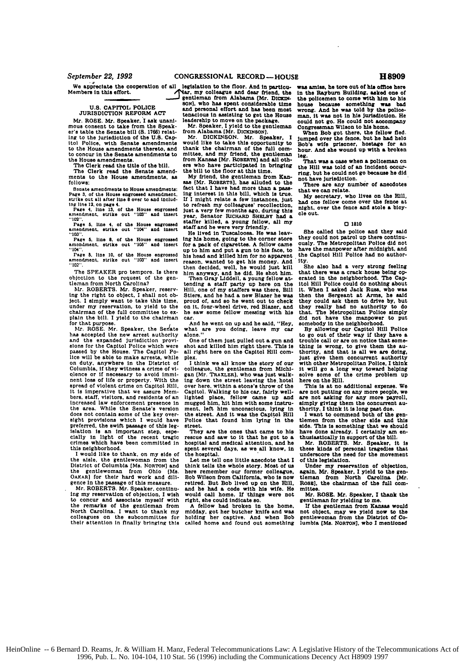JURISDICTION REFORM ACT<br>Mr. ROSE. Mr. Speaker, I ask unani-leadership to move on the package.<br>Mr. ROSE. Mr. Speaker, I ask unani-leadership to move on the package.<br>mount consent to take from the Speaker. Mr. Speaker, I jel Ing to the jurisdiction of the U.S. Cap- Mr. DICKINSON. Mr. Speaker, I jumped over the fence, but he had held<br>Ing to the jurisdiction of the U.S. Cap- Mr. DICKINSON. Mr. Speaker, I jumped over the fence, but he had held<br>to

Page 5, line 4, of the House engrossed staffer killed, a young fellow, all my **0 1810**<br>amendment, strike out ''104" and insert staff and he were very friendly.<br>"im"

The SPEAKER pro tempore. In the case bin anyway, and he id. the short him, that there was erectly here in the state of the state of the state of the state of the state of the state of the state of the state of the state o

We appreciate the cooperation **of all** legislation to the floor. And in particu- was amiss, he tore **out of** his office here Members in the Indian of the Indian from Alabama (Mr. DICKIN-<br>
Boni, who has spent considerable time<br>
and personal effort and has been most

itol Police, with Senate amendments would like to take this opportunity to Bob's wife prisoner, hostage for an<br>to che House amendments thereto, and thank the chairman of the full com-<br>house amendments that the chairman of **mes 3, other house agreeds** amendment,  $\overline{M}$  incerted in this olin, which is the strike out all after line 8 over to and includ-<br>if I might relate a few instances, just had one find the low second the strike out in the

amondment of cigarettes. A fellow came ously. The Metropolitan Police did not<br>to him and put a gun to his face, to have the manpower after midnight, and<br>his head and killed him for no apparent the Capitol Hill Police had n Fage 5. line 10, of the House engrossed his head and killed him for no apparent the Capitol Hill Police had no author-<br>and insert reason, wanted to get his mondment, strike out "103" and insert reason, wanted to get his mo

we appreciate the consent of all the filtre and dear friend, the in the Rayburn Building, asked one of<br>embers in this effort.<br>U.S. CAPITOL POLICE and personal effort and beam a personal effort and personal effort and perso

amendment, strike out "104" and insert stall and ne were very irlenary.<br>
"He lived in Tuscaloosa. He was leav-<br>
Page 5, line 8, of the House engrossed ing his home, going to the was leav-<br>
Page 5, line 8, of the House engr ing his home, going to the corner store they could not patrol up there continu-<br>for a nack of cigarettes. A fellow came ously. The Metropolitan Police did not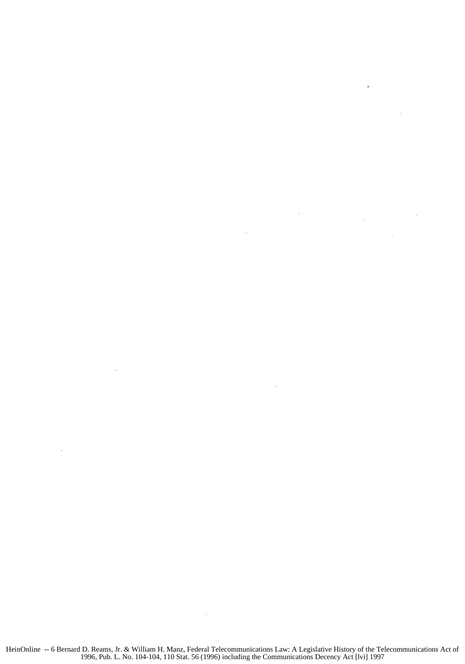HeinOnline -- 6 Bernard D. Reams, Jr. & William H. Manz, Federal Telecommunications Law: A Legislative History of the Telecommunications Act of 1996, Pub. L. No. 104-104, 110 Stat. 56 (1996) including the Communications Decency Act [lvi] 1997

 $\bar{\gamma}$ 

 $\sim$ 

 $\ddot{\phantom{1}}$ 

 $\sim 10^{10}$  km s  $^{-1}$ 

 $\sim$ 

 $\bar{z}$ 

J.

 $\sim$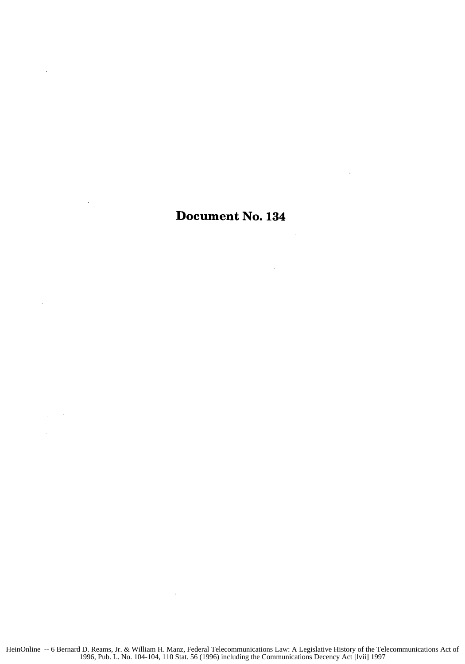Document No. 134

 $\mathcal{L}_{\mathcal{A}}$ 

 $\bar{z}$ 

 $\bar{z}$ 

 $\bar{z}$ 

 $\Delta \phi = 0.1$ 

 $\sim$ 

 $\sim$   $\sim$ 

 $\sim$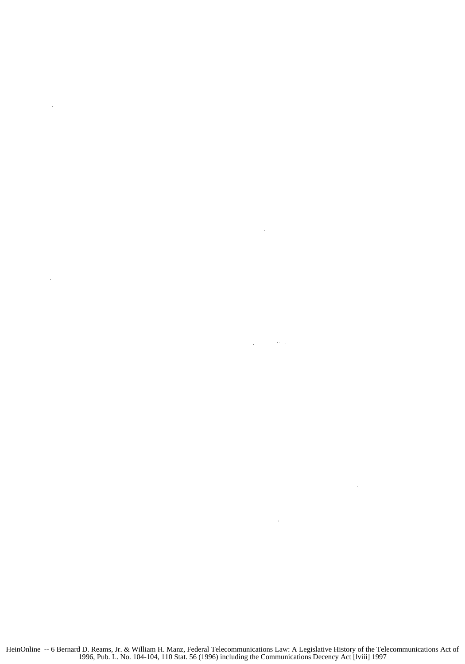HeinOnline -- 6 Bernard D. Reams, Jr. & William H. Manz, Federal Telecommunications Law: A Legislative History of the Telecommunications Act of 1996, Pub. L. No. 104-104, 110 Stat. 56 (1996) including the Communications Decency Act [lviii] 1997

 $\bar{\epsilon}$ 

 $\Delta \phi = 0.000$  and  $\Delta \phi$ 

 $\sim$ 

 $\sim$ 

 $\sim$ 

 $\bar{\mathcal{A}}$